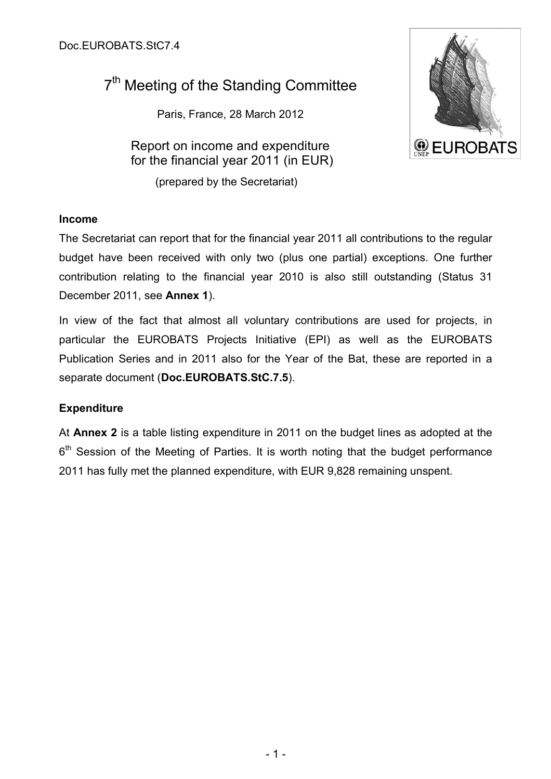## 7<sup>th</sup> Meeting of the Standing Committee

Paris, France, 28 March 2012

Report on income and expenditure for the financial year 2011 (in EUR)

(prepared by the Secretariat)



## **Income**

The Secretariat can report that for the financial year 2011 all contributions to the regular budget have been received with only two (plus one partial) exceptions. One further contribution relating to the financial year 2010 is also still outstanding (Status 31 December 2011, see **Annex 1**).

In view of the fact that almost all voluntary contributions are used for projects, in particular the EUROBATS Projects Initiative (EPI) as well as the EUROBATS Publication Series and in 2011 also for the Year of the Bat, these are reported in a separate document (**Doc.EUROBATS.StC.7.5**).

## **Expenditure**

At **Annex 2** is a table listing expenditure in 2011 on the budget lines as adopted at the 6<sup>th</sup> Session of the Meeting of Parties. It is worth noting that the budget performance 2011 has fully met the planned expenditure, with EUR 9,828 remaining unspent.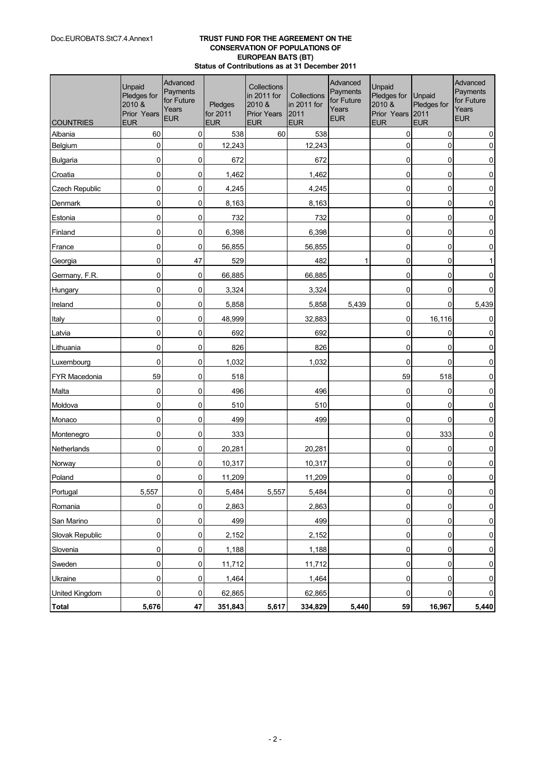## Doc.EUROBATS.StC7.4.Annex1 **TRUST FUND FOR THE AGREEMENT ON THE CONSERVATION OF POPULATIONS OF EUROPEAN BATS (BT) Status of Contributions as at 31 December 2011**

| <b>COUNTRIES</b>      | Unpaid<br>Pledges for<br>2010 &<br>Prior Years<br><b>EUR</b> | Advanced<br>Payments<br>for Future<br>Years<br><b>EUR</b> | Pledges<br>for 2011<br><b>EUR</b> | Collections<br>in 2011 for<br>2010 &<br><b>Prior Years</b><br><b>EUR</b> | Collections<br>in 2011 for<br>2011<br><b>EUR</b> | Advanced<br>Payments<br>for Future<br>Years<br><b>EUR</b> | Unpaid<br>Pledges for<br>2010 &<br>Prior Years<br><b>EUR</b> | <b>Unpaid</b><br>Pledges for<br>2011<br><b>EUR</b> | Advanced<br>Payments<br>for Future<br>Years<br><b>EUR</b> |
|-----------------------|--------------------------------------------------------------|-----------------------------------------------------------|-----------------------------------|--------------------------------------------------------------------------|--------------------------------------------------|-----------------------------------------------------------|--------------------------------------------------------------|----------------------------------------------------|-----------------------------------------------------------|
| Albania               | 60                                                           | $\mathbf 0$                                               | 538                               | 60                                                                       | 538                                              |                                                           | $\mathbf 0$                                                  | 0                                                  | $\pmb{0}$                                                 |
| Belgium               | 0                                                            | $\mathbf 0$                                               | 12,243                            |                                                                          | 12,243                                           |                                                           | $\mathbf 0$                                                  | $\mathbf 0$                                        | 0                                                         |
| Bulgaria              | 0                                                            | 0                                                         | 672                               |                                                                          | 672                                              |                                                           | 0                                                            | 0                                                  | $\pmb{0}$                                                 |
| Croatia               | 0                                                            | 0                                                         | 1,462                             |                                                                          | 1,462                                            |                                                           | 0                                                            | 0                                                  | $\pmb{0}$                                                 |
| <b>Czech Republic</b> | 0                                                            | 0                                                         | 4,245                             |                                                                          | 4,245                                            |                                                           | 0                                                            | $\mathbf 0$                                        | $\pmb{0}$                                                 |
| Denmark               | 0                                                            | 0                                                         | 8,163                             |                                                                          | 8,163                                            |                                                           | $\mathbf 0$                                                  | 0                                                  | 0                                                         |
| Estonia               | 0                                                            | 0                                                         | 732                               |                                                                          | 732                                              |                                                           | 0                                                            | 0                                                  | $\pmb{0}$                                                 |
| Finland               | 0                                                            | 0                                                         | 6,398                             |                                                                          | 6,398                                            |                                                           | 0                                                            | 0                                                  | $\pmb{0}$                                                 |
| France                | 0                                                            | 0                                                         | 56,855                            |                                                                          | 56,855                                           |                                                           | 0                                                            | 0                                                  | $\pmb{0}$                                                 |
| Georgia               | 0                                                            | 47                                                        | 529                               |                                                                          | 482                                              | 1                                                         | 0                                                            | $\mathbf 0$                                        | 1                                                         |
| Germany, F.R.         | 0                                                            | 0                                                         | 66,885                            |                                                                          | 66,885                                           |                                                           | $\mathbf 0$                                                  | 0                                                  | 0                                                         |
| Hungary               | $\mathbf 0$                                                  | 0                                                         | 3,324                             |                                                                          | 3,324                                            |                                                           | 0                                                            | 0                                                  | 0                                                         |
| Ireland               | 0                                                            | 0                                                         | 5,858                             |                                                                          | 5,858                                            | 5,439                                                     | 0                                                            | 0                                                  | 5,439                                                     |
| Italy                 | 0                                                            | 0                                                         | 48,999                            |                                                                          | 32,883                                           |                                                           | 0                                                            | 16,116                                             | 0                                                         |
| Latvia                | 0                                                            | 0                                                         | 692                               |                                                                          | 692                                              |                                                           | $\mathbf 0$                                                  | 0                                                  | $\pmb{0}$                                                 |
| Lithuania             | 0                                                            | 0                                                         | 826                               |                                                                          | 826                                              |                                                           | 0                                                            | 0                                                  | 0                                                         |
| Luxembourg            | 0                                                            | 0                                                         | 1,032                             |                                                                          | 1,032                                            |                                                           | 0                                                            | 0                                                  | $\pmb{0}$                                                 |
| <b>FYR Macedonia</b>  | 59                                                           | 0                                                         | 518                               |                                                                          |                                                  |                                                           | 59                                                           | 518                                                | $\pmb{0}$                                                 |
| Malta                 | 0                                                            | 0                                                         | 496                               |                                                                          | 496                                              |                                                           | 0                                                            | 0                                                  | $\pmb{0}$                                                 |
| Moldova               | 0                                                            | 0                                                         | 510                               |                                                                          | 510                                              |                                                           | 0                                                            | 0                                                  | $\pmb{0}$                                                 |
| Monaco                | 0                                                            | 0                                                         | 499                               |                                                                          | 499                                              |                                                           | $\mathbf 0$                                                  | 0                                                  | $\pmb{0}$                                                 |
| Montenegro            | 0                                                            | 0                                                         | 333                               |                                                                          |                                                  |                                                           | 0                                                            | 333                                                | 0                                                         |
| Netherlands           | 0                                                            | 0                                                         | 20,281                            |                                                                          | 20,281                                           |                                                           | 0                                                            | 0                                                  | $\pmb{0}$                                                 |
| Norway                | 0                                                            | 0                                                         | 10,317                            |                                                                          | 10,317                                           |                                                           | 0                                                            | 0                                                  | $\pmb{0}$                                                 |
| Poland                | $\mathbf 0$                                                  | 0                                                         | 11,209                            |                                                                          | 11,209                                           |                                                           | $\mathbf 0$                                                  | 0                                                  | 0                                                         |
| Portugal              | 5,557                                                        | $\overline{0}$                                            | 5,484                             | 5,557                                                                    | 5,484                                            |                                                           | $\overline{0}$                                               | 0                                                  | 0                                                         |
| Romania               | 0                                                            | $\mathbf 0$                                               | 2,863                             |                                                                          | 2,863                                            |                                                           | 0                                                            | 0                                                  | $\pmb{0}$                                                 |
| San Marino            | 0                                                            | $\pmb{0}$                                                 | 499                               |                                                                          | 499                                              |                                                           | $\overline{0}$                                               | 0                                                  | $\pmb{0}$                                                 |
| Slovak Republic       | 0                                                            | 0                                                         | 2,152                             |                                                                          | 2,152                                            |                                                           | 0                                                            | 0                                                  | $\pmb{0}$                                                 |
| Slovenia              | 0                                                            | 0                                                         | 1,188                             |                                                                          | 1,188                                            |                                                           | 0                                                            | 0                                                  | $\pmb{0}$                                                 |
| Sweden                | 0                                                            | 0                                                         | 11,712                            |                                                                          | 11,712                                           |                                                           | 0                                                            | 0                                                  | $\pmb{0}$                                                 |
| Ukraine               | 0                                                            | 0                                                         | 1,464                             |                                                                          | 1,464                                            |                                                           | 0                                                            | 0                                                  | $\pmb{0}$                                                 |
| <b>United Kingdom</b> | 0                                                            | 0                                                         | 62,865                            |                                                                          | 62,865                                           |                                                           | 0                                                            | 0                                                  | $\pmb{0}$                                                 |
| <b>Total</b>          | 5,676                                                        | 47                                                        | 351,843                           | 5,617                                                                    | 334,829                                          | 5,440                                                     | 59                                                           | 16,967                                             | 5,440                                                     |